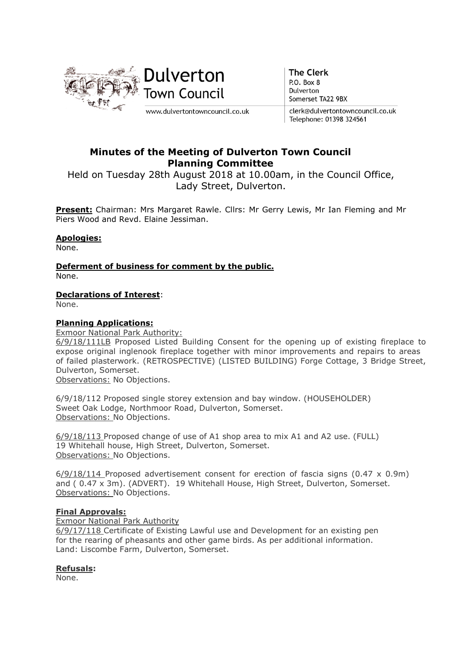

**The Clerk** P.O. Box 8 Dulverton Somerset TA22 9BX

clerk@dulvertontowncouncil.co.uk Telephone: 01398 324561

# Minutes of the Meeting of Dulverton Town Council Planning Committee

Held on Tuesday 28th August 2018 at 10.00am, in the Council Office, Lady Street, Dulverton.

Present: Chairman: Mrs Margaret Rawle. Cllrs: Mr Gerry Lewis, Mr Ian Fleming and Mr Piers Wood and Revd. Elaine Jessiman.

# Apologies:

None.

Deferment of business for comment by the public. None.

# Declarations of Interest:

None.

## Planning Applications:

Exmoor National Park Authority:

6/9/18/111LB Proposed Listed Building Consent for the opening up of existing fireplace to expose original inglenook fireplace together with minor improvements and repairs to areas of failed plasterwork. (RETROSPECTIVE) (LISTED BUILDING) Forge Cottage, 3 Bridge Street, Dulverton, Somerset.

Observations: No Objections.

6/9/18/112 Proposed single storey extension and bay window. (HOUSEHOLDER) Sweet Oak Lodge, Northmoor Road, Dulverton, Somerset. Observations: No Objections.

6/9/18/113 Proposed change of use of A1 shop area to mix A1 and A2 use. (FULL) 19 Whitehall house, High Street, Dulverton, Somerset. Observations: No Objections.

6/9/18/114 Proposed advertisement consent for erection of fascia signs (0.47 x 0.9m) and ( 0.47 x 3m). (ADVERT). 19 Whitehall House, High Street, Dulverton, Somerset. Observations: No Objections.

### Final Approvals:

Exmoor National Park Authority

6/9/17/118 Certificate of Existing Lawful use and Development for an existing pen for the rearing of pheasants and other game birds. As per additional information. Land: Liscombe Farm, Dulverton, Somerset.

### Refusals:

None.